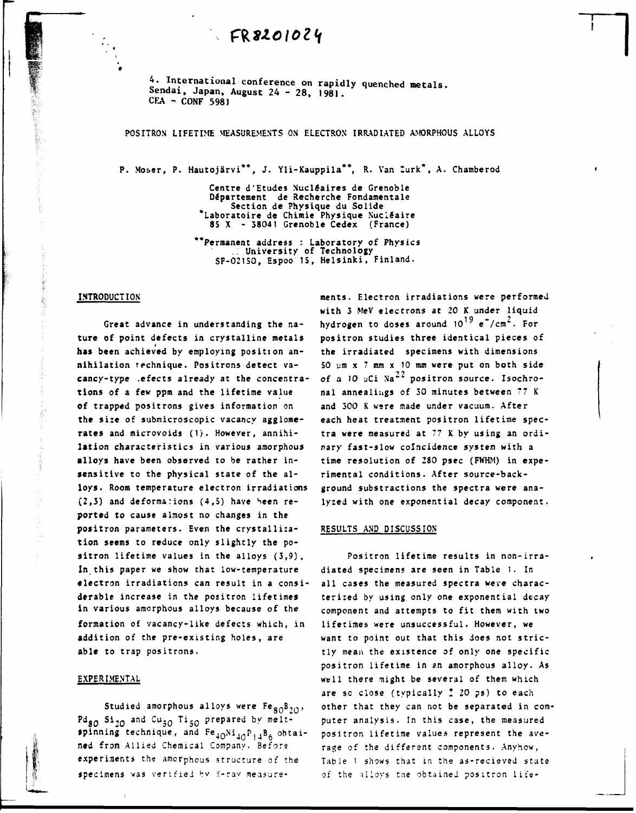# *ÇWlO\0l<i*

**A. International conference on rapidly quenched metals Sendai, Japan, August 24 - 28, 1981. CEA - CONF 5981** 

### **POSITRON LIFETIME MEASUREMENTS ON ELECTRON IRRADIATED AMORPHOUS ALLOYS**

**P. Moser, P. Hautojërvi\*\*, J. Yli-Kauppila\*\*, R. Van lurk\*, A. Chamberod** 

**Centre d'Etudes Nucléaires de Grenoble Département de Recherche Fondamentale Section de Physique du Solide 'Laboratoire de Chimie Physique Nucléaire 85 X - 38041 Grenoble Cedex (France)** 

**"Permanent address : Laboratory of Physics University of Technology SF-021S0, Espoo 15, Helsinki, Finland.** 

#### **INTRODUCTION**

**Great advance in understanding the nature of point defects in crystalline metals has been achieved by employing position annihilation technique. Positrons detect vacancy-type .efects already at the concentrations of a few ppm and the lifetime value of trapped positrons gives information on the size of submicroscopic vacancy agglomerates and microvoids (1). However, annihilation characteristics in various amorphous alloys have been observed to be rather insensitive to the physical state of the alloys. Room temperature electron irradiations (2,3) and deformations (4,5) have Heen reported to cause almost no changes in the positron parameters. Even the crystallization seems to reduce only slightly the positron lifetime values in the alloys (3,9).**  In this paper we show that low-temperature **electron irradiations can result in a considerable increase in the positron lifetimes in various amorphous alloys because of the formation of vacancy-like defects which, in addition of the pre-existing holes, are able to trap positrons.** 

#### **EXPERIMENTAL**

Studied amorphous alloys were Fe<sub>80</sub><sup>B</sup><sub>20</sub>, Pdg<sub>O</sub> Si<sub>2O</sub> and Cu<sub>5O</sub> Ti<sub>5O</sub> prepared by meltspinning technique, and Fe<sub>4O</sub>Ni<sub>4O</sub>P<sub>14</sub>B<sub>6</sub> obtai**ned from Allied Chemical Company. Before experiments the amorphous structure of the**  specimens was verified by X-ray measure**ments. Electron irradiations were performed with 3 MeV electrons at 20 K under liquid 19 - 2 hydrogen to doses around 10 e /cm . For positron studies three identical pieces of the irradiated specimens with dimensions SO ym x ? mm x 10 mm were put on both side**  of a 10 uCi Na<sup>22</sup> positron source. Isochro**nal annealings of 30 minutes between 77 K and 300 K were made under vacuum. After each heat treatment positron lifetime spectra were measured at 77 K by using an ordinary fast-slow coïncidence system with a time resolution of 280 psec (FWHM) in experimental conditions. After source-background substractions the spectra were analyzed with one exponential decay component.** 

#### **RESULTS AND DISCUSSION**

**Positron lifetime results in non-irradiated specimens are seen in Table 1. In all cases the measured spectra were characterized by using only one exponential decay component and attempts to fit them with two lifetimes were unsuccessful. However, we want to point out that this does not strictly mean the existence of only one specific positron lifetime in an amorphous alloy. As well there might be several of them which are sc close (typically** *t* **20 ps) to each other that they can not be separated in computer analysis. In this case, the measured positron lifetime values represent the average of the different components. Anyhow, Table 1 shows that in the as-recieved state of the alloys the obtained positron life-**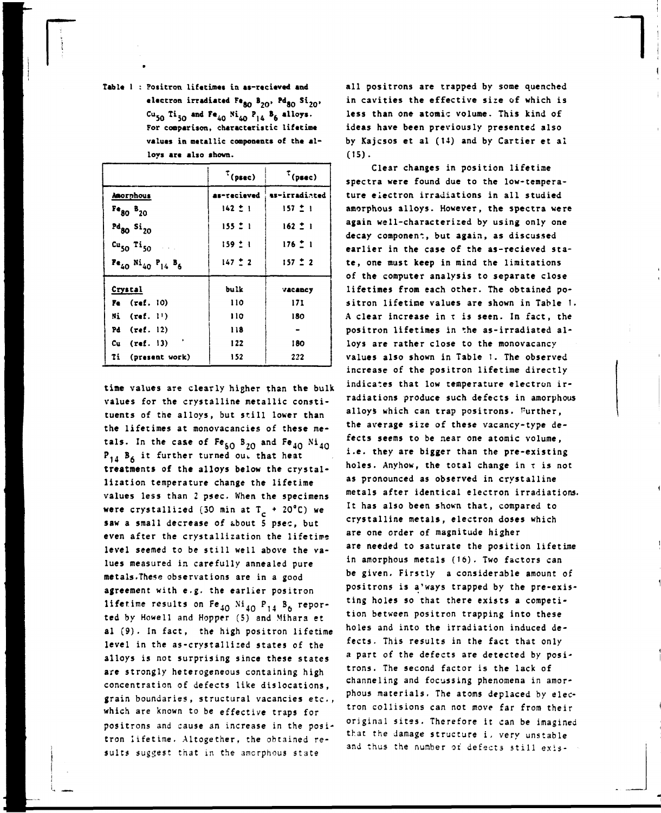Table 1 : Positron lifetimes in as-recieved and electron irradiated Fe<sub>80</sub> B<sub>20</sub>, Pd<sub>80</sub> Si<sub>20</sub>, Cu<sub>50</sub> Ti<sub>50</sub> and Fe<sub>40</sub> Ni<sub>40</sub> P<sub>14</sub> B<sub>6</sub> alloys. For comparison, characteristic lifetime values in metallic components of the alloys are also shown.

|                                                           | $^{\tau}$ (psec) | $^{\tau}$ (psec) |
|-----------------------------------------------------------|------------------|------------------|
| Anorphous                                                 | as-recieved      | as-irradiated    |
| $Fe80$ $B20$                                              | $142 \pm 1$      | $157 - 1$        |
| $Pd_{80}$ Si <sub>20</sub>                                | $155 - 1$        | $162 - 1$        |
| $cu_{50}$ Ti <sub>50</sub>                                | 159:1            | $176 - 1$        |
| $Pe_{40}$ Ni <sub>40</sub> P <sub>14</sub> B <sub>6</sub> | $147 \pm 2$      | $157 - 2$        |
| Crystal                                                   | bulk             | vacancy          |
| $Fe$ (ref. $10$ )                                         | 110              | 17I              |
| $Ni$ (ref. $11)$                                          | 110              | 180              |
| Pd $(\text{ref. } 12)$                                    | 118              |                  |
| $Cu$ (ref. 13)                                            | 122              | 180              |
| Ti (present work)                                         | 152              | 222              |

time values are clearly higher than the bulk values for the crystalline metallic constituents of the alloys, but still lower than the lifetimes at monovacancies of these metals. In the case of  $Fe_{50}B_{20}$  and  $Fe_{40}Ni_{40}$  $P_{14}$   $B_6$  it further turned out that heat treatments of the alloys below the crystallization temperature change the lifetime values less than 2 psec. When the specimens were crystallized (30 min at  $T_c + 20^{\circ}C$ ) we saw a small decrease of about 5 psec, but even after the crystallization the lifetime level seemed to be still well above the values measured in carefully annealed pure metals. These observations are in a good agreement with e.g. the earlier positron lifetime results on  $Fe_{40}$  Ni<sub>40</sub> P<sub>14</sub> B<sub>6</sub> reported by Howell and Hopper (5) and Mihara et al (9). In fact, the high positron lifetime level in the as-crystallized states of the alloys is not surprising since these states are strongly heterogeneous containing high concentration of defects like dislocations, grain boundaries, structural vacancies etc., which are known to be effective traps for positrons and cause an increase in the positron lifetime. Altogether, the obtained results suggest that in the amorphous state

all positrons are trapped by some quenched in cavities the effective size of which is less than one atomic volume. This kind of ideas have been previously presented also by Kajcsos et al (14) and by Cartier et al  $(15).$ 

Clear changes in position lifetime spectra were found due to the low-temperature electron irradiations in all studied amorphous alloys. However, the spectra were again well-characterized by using only one decay component, but again, as discussed earlier in the case of the as-recieved state, one must keep in mind the limitations of the computer analysis to separate close lifetimes from each other. The obtained positron lifetime values are shown in Table 1. A clear increase in t is seen. In fact, the positron lifetimes in the as-irradiated alloys are rather close to the monovacancy values also shown in Table 1. The observed increase of the positron lifetime directly indicates that low temperature electron irradiations produce such defects in amorphous alloys which can trap positrons. Further, the average size of these vacancy-type defects seems to be near one atomic volume, i.e. they are bigger than the pre-existing holes. Anyhow, the total change in t is not as pronounced as observed in crystalline metals after identical electron irradiations. It has also been shown that, compared to crystalline metals, electron doses which are one order of magnitude higher are needed to saturate the position lifetime in amorphous metals (16). Two factors can be given. Firstly a considerable amount of positrons is a'ways trapped by the pre-existing holes so that there exists a competition between positron trapping into these holes and into the irradiation induced defects. This results in the fact that only a part of the defects are detected by positrons. The second factor is the lack of channeling and focussing phenomena in amorphous materials. The atoms deplaced by electron collisions can not move far from their original sites. Therefore it can be imagined that the damage structure i, very unstable and thus the number of defects still exis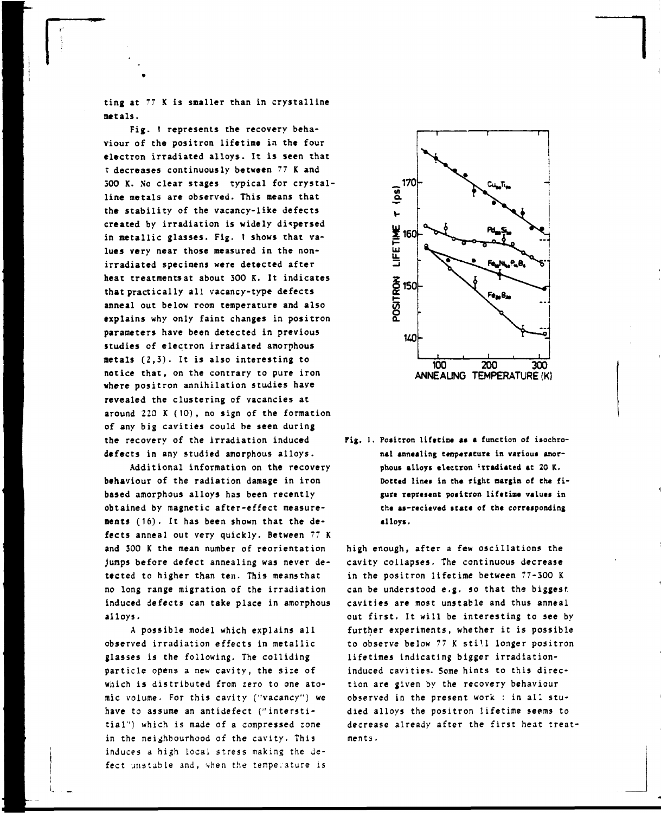**ting at 77 K is smaller than in crystalline metals.** 

**Fig. 1 represents the recovery behaviour of the positron lifetime in the four electron irradiated alloys. It is seen that T decreases continuously between 77 K and 500 K. No clear stages typical for crystalline metals are observed. This means that the stability of the vacancy-like defects created by irradiation is widely dispersed in metallic glasses. Fig. 1 shows that values very near those measured in the nonirradiated specimens were detected after heat treatments at about 300 K. It indicates that practically all vacancy-type defects anneal out below room temperature and also explains why only faint changes in positron parameters have been detected in previous studies of electron irradiated amorphous metals (2,3). It is also interesting to notice that, on the contrary to pure iron where positron annihilation studies have revealed the clustering of vacancies at around 220 K (10), no sign of the formation of any big cavities could be seen during the recovery of the irradiation induced defects in any studied amorphous alloys.** 

**Additional information on the recovery behaviour of the radiation damage in iron based amorphous alloys has been recently obtained by magnetic after-effect measurements (16). It has been shown that the defects anneal out very quickly. Between 77 K and 300 K the mean number of reorientation jumps before defect annealing was never detected to higher than ten. This meansthat no long range migration of the irradiation induced defects can take place in amorphous alloys.** 

**A possible model which explains all observed irradiation effects in metallic glasses is the following. The colliding particle opens a new cavity, the si:e of which is distributed from zero to one atomic volume. For this cavity ("vacancy") we have to assume an antidefect (''interstitial") which is made of a compressed zone in the neighbourhood of the cavity. This induces a high local stress making the defect unstable and, when the température is** 



**Fig. 1. Positron lifetime as a function of isochronal annealing température in various amorphous alloys electron «rradiaced at 20 K.**  Dotted lines in the right margin of the fi**gure represent positron lifetime values in the as-recicved scats of the corresponding alloys.** 

high enough, after a few oscillations the cavity collapses. The continuous decrease in the positron lifetime between 77-300 K can be understood e.g. so that the biggest cavities are most unstable and thus anneal out first. It will be interesting to see by further experiments, whether it is possible to observe below 77 K still longer positron lifetimes indicating bigger irradiationinduced cavities. Some hints to this direction are given by the recovery behaviour observed in the present work : in all studied alloys the positron lifetime seems to decrease already after the first heat treatments .